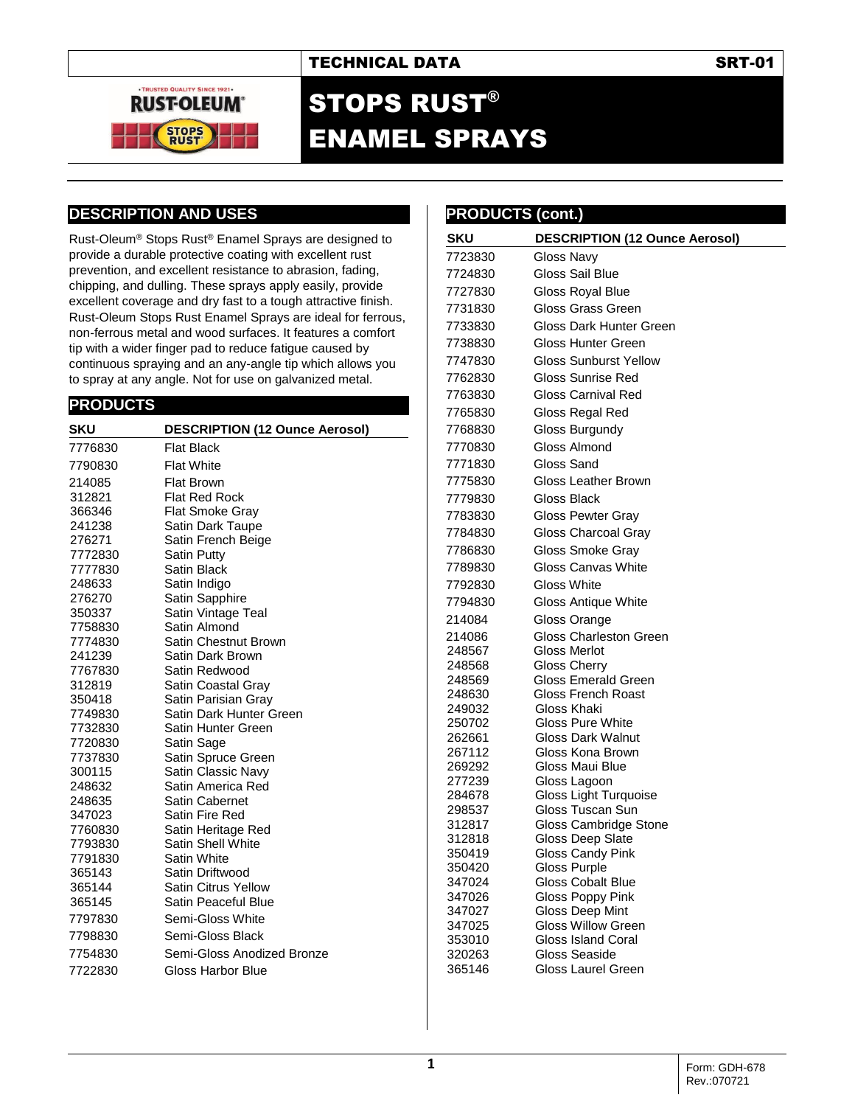## TECHNICAL DATA SRT-01



# STOPS RUST® ENAMEL SPRAYS

## **DESCRIPTION AND USES**

Rust-Oleum® Stops Rust® Enamel Sprays are designed to provide a durable protective coating with excellent rust prevention, and excellent resistance to abrasion, fading, chipping, and dulling. These sprays apply easily, provide excellent coverage and dry fast to a tough attractive finish. Rust-Oleum Stops Rust Enamel Sprays are ideal for ferrous, non-ferrous metal and wood surfaces. It features a comfort tip with a wider finger pad to reduce fatigue caused by continuous spraying and an any-angle tip which allows you to spray at any angle. Not for use on galvanized metal.

## **PRODUCTS**

| DESCRIPTION (12 Ounce Aerosol) |  |  |
|--------------------------------|--|--|
| <b>Flat Black</b>              |  |  |
| <b>Flat White</b>              |  |  |
| Flat Brown                     |  |  |
| <b>Flat Red Rock</b>           |  |  |
| Flat Smoke Gray                |  |  |
| Satin Dark Taupe               |  |  |
| Satin French Beige             |  |  |
| Satin Putty                    |  |  |
| Satin Black                    |  |  |
| Satin Indigo                   |  |  |
| Satin Sapphire                 |  |  |
| Satin Vintage Teal             |  |  |
| Satin Almond                   |  |  |
| Satin Chestnut Brown           |  |  |
| Satin Dark Brown               |  |  |
| Satin Redwood                  |  |  |
| Satin Coastal Gray             |  |  |
| Satin Parisian Gray            |  |  |
| Satin Dark Hunter Green        |  |  |
| Satin Hunter Green             |  |  |
| Satin Sage                     |  |  |
| Satin Spruce Green             |  |  |
| Satin Classic Navy             |  |  |
| Satin America Red              |  |  |
| <b>Satin Cabernet</b>          |  |  |
| Satin Fire Red                 |  |  |
| Satin Heritage Red             |  |  |
| <b>Satin Shell White</b>       |  |  |
| Satin White                    |  |  |
| Satin Driftwood                |  |  |
| <b>Satin Citrus Yellow</b>     |  |  |
| Satin Peaceful Blue            |  |  |
| Semi-Gloss White               |  |  |
| Semi-Gloss Black               |  |  |
| Semi-Gloss Anodized Bronze     |  |  |
| Gloss Harbor Blue              |  |  |
|                                |  |  |

| <b>SKU</b>       |                                           |
|------------------|-------------------------------------------|
|                  | <b>DESCRIPTION (12 Ounce Aerosol)</b>     |
| 7723830          | Gloss Navy                                |
| 7724830          | Gloss Sail Blue                           |
| 7727830          | Gloss Royal Blue                          |
| 7731830          | Gloss Grass Green                         |
| 7733830          | Gloss Dark Hunter Green                   |
| 7738830          | Gloss Hunter Green                        |
| 7747830          | <b>Gloss Sunburst Yellow</b>              |
| 7762830          | Gloss Sunrise Red                         |
| 7763830          | Gloss Carnival Red                        |
| 7765830          | Gloss Regal Red                           |
| 7768830          | Gloss Burgundy                            |
| 7770830          | Gloss Almond                              |
| 7771830          | Gloss Sand                                |
| 7775830          | Gloss Leather Brown                       |
|                  | <b>Gloss Black</b>                        |
| 7779830          |                                           |
| 7783830          | <b>Gloss Pewter Gray</b>                  |
| 7784830          | Gloss Charcoal Gray                       |
| 7786830          | Gloss Smoke Gray                          |
| 7789830          | Gloss Canvas White                        |
| 7792830          | Gloss White                               |
| 7794830          | Gloss Antique White                       |
| 214084           | Gloss Orange                              |
| 214086           | <b>Gloss Charleston Green</b>             |
| 248567           | Gloss Merlot                              |
| 248568           | <b>Gloss Cherry</b>                       |
| 248569           | Gloss Emerald Green<br>Gloss French Roast |
| 248630<br>249032 | Gloss Khaki                               |
| 250702           | Gloss Pure White                          |
| 262661           | Gloss Dark Walnut                         |
| 267112           | Gloss Kona Brown                          |
| 269292           | Gloss Maui Blue                           |
| 277239           | Gloss Lagoon                              |
| 284678           | Gloss Light Turquoise                     |
| 298537           | Gloss Tuscan Sun                          |
| 312817<br>312818 | Gloss Cambridge Stone<br>Gloss Deep Slate |
| 350419           | Gloss Candy Pink                          |
| 350420           | <b>Gloss Purple</b>                       |
| 347024           | <b>Gloss Cobalt Blue</b>                  |
| 347026           | Gloss Poppy Pink                          |
| 347027           | Gloss Deep Mint                           |
| 347025           | <b>Gloss Willow Green</b>                 |
| 353010<br>320263 | Gloss Island Coral<br>Gloss Seaside       |
| 365146           | Gloss Laurel Green                        |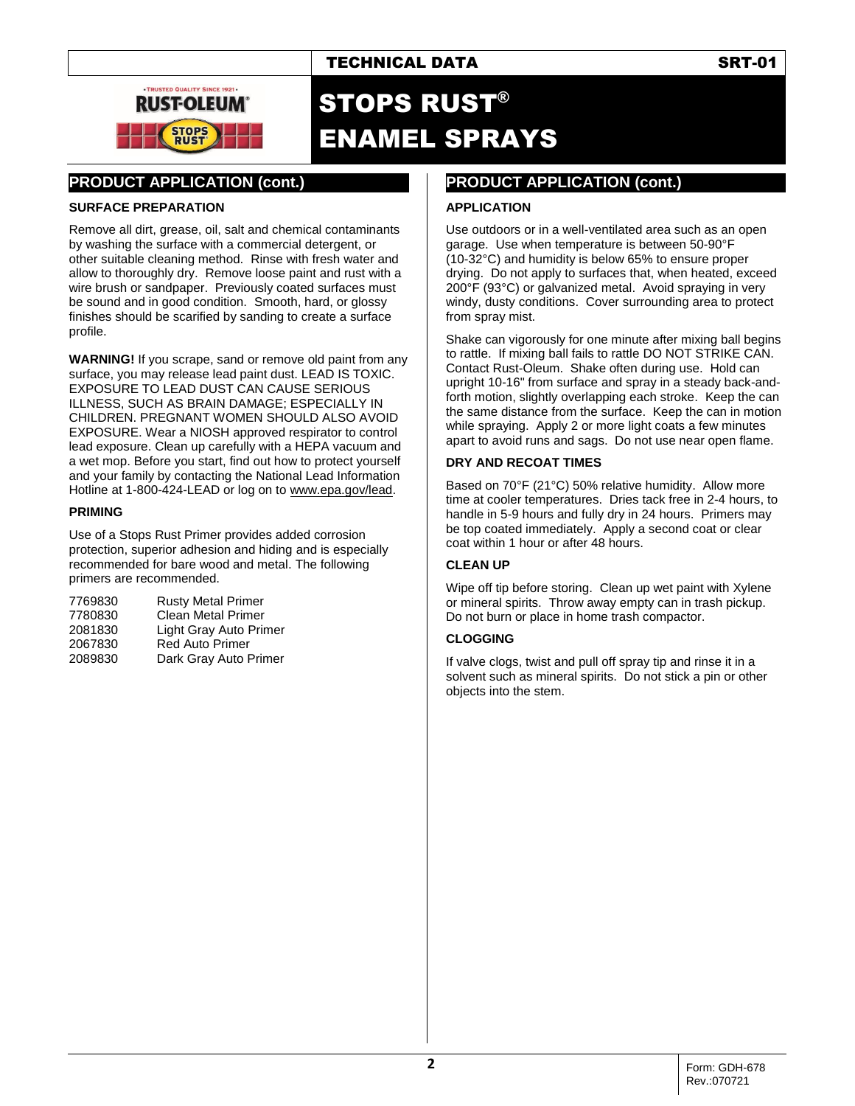



# STOPS RUST® ENAMEL SPRAYS

# **PRODUCT APPLICATION (cont.)**

### **SURFACE PREPARATION**

Remove all dirt, grease, oil, salt and chemical contaminants by washing the surface with a commercial detergent, or other suitable cleaning method. Rinse with fresh water and allow to thoroughly dry. Remove loose paint and rust with a wire brush or sandpaper. Previously coated surfaces must be sound and in good condition. Smooth, hard, or glossy finishes should be scarified by sanding to create a surface profile.

**WARNING!** If you scrape, sand or remove old paint from any surface, you may release lead paint dust. LEAD IS TOXIC. EXPOSURE TO LEAD DUST CAN CAUSE SERIOUS ILLNESS, SUCH AS BRAIN DAMAGE; ESPECIALLY IN CHILDREN. PREGNANT WOMEN SHOULD ALSO AVOID EXPOSURE. Wear a NIOSH approved respirator to control lead exposure. Clean up carefully with a HEPA vacuum and a wet mop. Before you start, find out how to protect yourself and your family by contacting the National Lead Information Hotline at 1-800-424-LEAD or log on t[o www.epa.gov/lead.](http://www.epa.gov/lead)

### **PRIMING**

Use of a Stops Rust Primer provides added corrosion protection, superior adhesion and hiding and is especially recommended for bare wood and metal. The following primers are recommended.

| 7769830 | <b>Rusty Metal Primer</b> |
|---------|---------------------------|
| 7780830 | <b>Clean Metal Primer</b> |
| 2081830 | Light Gray Auto Primer    |
| 2067830 | Red Auto Primer           |
| 2089830 | Dark Gray Auto Primer     |

# **PRODUCT APPLICATION (cont.)**

# **APPLICATION**

Use outdoors or in a well-ventilated area such as an open garage. Use when temperature is between 50-90°F (10-32°C) and humidity is below 65% to ensure proper drying. Do not apply to surfaces that, when heated, exceed 200°F (93°C) or galvanized metal. Avoid spraying in very windy, dusty conditions. Cover surrounding area to protect from spray mist.

Shake can vigorously for one minute after mixing ball begins to rattle. If mixing ball fails to rattle DO NOT STRIKE CAN. Contact Rust-Oleum. Shake often during use. Hold can upright 10-16" from surface and spray in a steady back-andforth motion, slightly overlapping each stroke. Keep the can the same distance from the surface. Keep the can in motion while spraying. Apply 2 or more light coats a few minutes apart to avoid runs and sags. Do not use near open flame.

### **DRY AND RECOAT TIMES**

Based on 70°F (21°C) 50% relative humidity. Allow more time at cooler temperatures. Dries tack free in 2-4 hours, to handle in 5-9 hours and fully dry in 24 hours. Primers may be top coated immediately. Apply a second coat or clear coat within 1 hour or after 48 hours.

### **CLEAN UP**

Wipe off tip before storing. Clean up wet paint with Xylene or mineral spirits. Throw away empty can in trash pickup. Do not burn or place in home trash compactor.

### **CLOGGING**

If valve clogs, twist and pull off spray tip and rinse it in a solvent such as mineral spirits. Do not stick a pin or other objects into the stem.